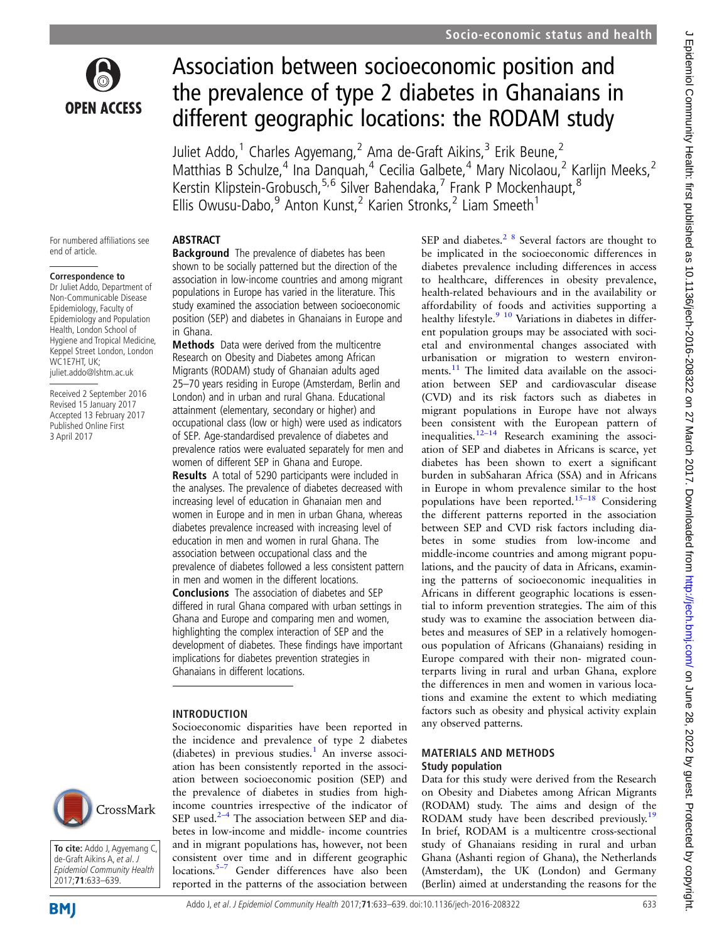

For numbered affiliations see

**Correspondence to** Dr Juliet Addo, Department of Non-Communicable Disease Epidemiology, Faculty of Epidemiology and Population Health, London School of Hygiene and Tropical Medicine, Keppel Street London, London

end of article.

WC1E7HT, UK; juliet.addo@lshtm.ac.uk Received 2 September 2016 Revised 15 January 2017 Accepted 13 February 2017 Published Online First 3 April 2017

# Association between socioeconomic position and the prevalence of type 2 diabetes in Ghanaians in different geographic locations: the RODAM study

Juliet Addo,<sup>1</sup> Charles Agyemang,<sup>2</sup> Ama de-Graft Aikins,<sup>3</sup> Erik Beune,<sup>2</sup> Matthias B Schulze,<sup>4</sup> Ina Danquah,<sup>4</sup> Cecilia Galbete,<sup>4</sup> Mary Nicolaou,<sup>2</sup> Karlijn Meeks,<sup>2</sup> Kerstin Klipstein-Grobusch,<sup>5,6</sup> Silver Bahendaka,<sup>7</sup> Frank P Mockenhaupt,<sup>8</sup> Ellis Owusu-Dabo,<sup>9</sup> Anton Kunst,<sup>2</sup> Karien Stronks,<sup>2</sup> Liam Smeeth<sup>1</sup>

# **ABSTRACT**

**Background** The prevalence of diabetes has been shown to be socially patterned but the direction of the association in low-income countries and among migrant populations in Europe has varied in the literature. This study examined the association between socioeconomic position (SEP) and diabetes in Ghanaians in Europe and in Ghana.

**Methods** Data were derived from the multicentre Research on Obesity and Diabetes among African Migrants (RODAM) study of Ghanaian adults aged 25–70 years residing in Europe (Amsterdam, Berlin and London) and in urban and rural Ghana. Educational attainment (elementary, secondary or higher) and occupational class (low or high) were used as indicators of SEP. Age-standardised prevalence of diabetes and prevalence ratios were evaluated separately for men and women of different SEP in Ghana and Europe. Results A total of 5290 participants were included in the analyses. The prevalence of diabetes decreased with increasing level of education in Ghanaian men and women in Europe and in men in urban Ghana, whereas diabetes prevalence increased with increasing level of education in men and women in rural Ghana. The association between occupational class and the prevalence of diabetes followed a less consistent pattern in men and women in the different locations.

Conclusions The association of diabetes and SEP differed in rural Ghana compared with urban settings in Ghana and Europe and comparing men and women, highlighting the complex interaction of SEP and the development of diabetes. These findings have important implications for diabetes prevention strategies in Ghanaians in different locations.

# INTRODUCTION

Socioeconomic disparities have been reported in the incidence and prevalence of type 2 diabetes  $(diabetes)$  in previous studies.<sup>[1](#page-5-0)</sup> An inverse association has been consistently reported in the association between socioeconomic position (SEP) and the prevalence of diabetes in studies from highincome countries irrespective of the indicator of SEP used. $2-4$  $2-4$  The association between SEP and diabetes in low-income and middle- income countries and in migrant populations has, however, not been consistent over time and in different geographic locations.<sup>5–[7](#page-5-0)</sup> Gender differences have also been reported in the patterns of the association between

SEP and diabetes.<sup>2</sup> <sup>8</sup> Several factors are thought to be implicated in the socioeconomic differences in diabetes prevalence including differences in access to healthcare, differences in obesity prevalence, health-related behaviours and in the availability or affordability of foods and activities supporting a healthy lifestyle. $910$  Variations in diabetes in different population groups may be associated with societal and environmental changes associated with urbanisation or migration to western environments.<sup>11</sup> The limited data available on the association between SEP and cardiovascular disease (CVD) and its risk factors such as diabetes in migrant populations in Europe have not always been consistent with the European pattern of inequalities.<sup>12–[14](#page-5-0)</sup> Research examining the association of SEP and diabetes in Africans is scarce, yet diabetes has been shown to exert a significant burden in subSaharan Africa (SSA) and in Africans in Europe in whom prevalence similar to the host populations have been reported.[15](#page-5-0)–<sup>18</sup> Considering the different patterns reported in the association between SEP and CVD risk factors including diabetes in some studies from low-income and middle-income countries and among migrant populations, and the paucity of data in Africans, examining the patterns of socioeconomic inequalities in Africans in different geographic locations is essential to inform prevention strategies. The aim of this study was to examine the association between diabetes and measures of SEP in a relatively homogenous population of Africans (Ghanaians) residing in Europe compared with their non- migrated counterparts living in rural and urban Ghana, explore the differences in men and women in various locations and examine the extent to which mediating factors such as obesity and physical activity explain any observed patterns.

### MATERIALS AND METHODS Study population

Data for this study were derived from the Research on Obesity and Diabetes among African Migrants (RODAM) study. The aims and design of the RODAM study have been described previously.<sup>[19](#page-5-0)</sup> In brief, RODAM is a multicentre cross-sectional study of Ghanaians residing in rural and urban Ghana (Ashanti region of Ghana), the Netherlands (Amsterdam), the UK (London) and Germany (Berlin) aimed at understanding the reasons for the



CrossMark

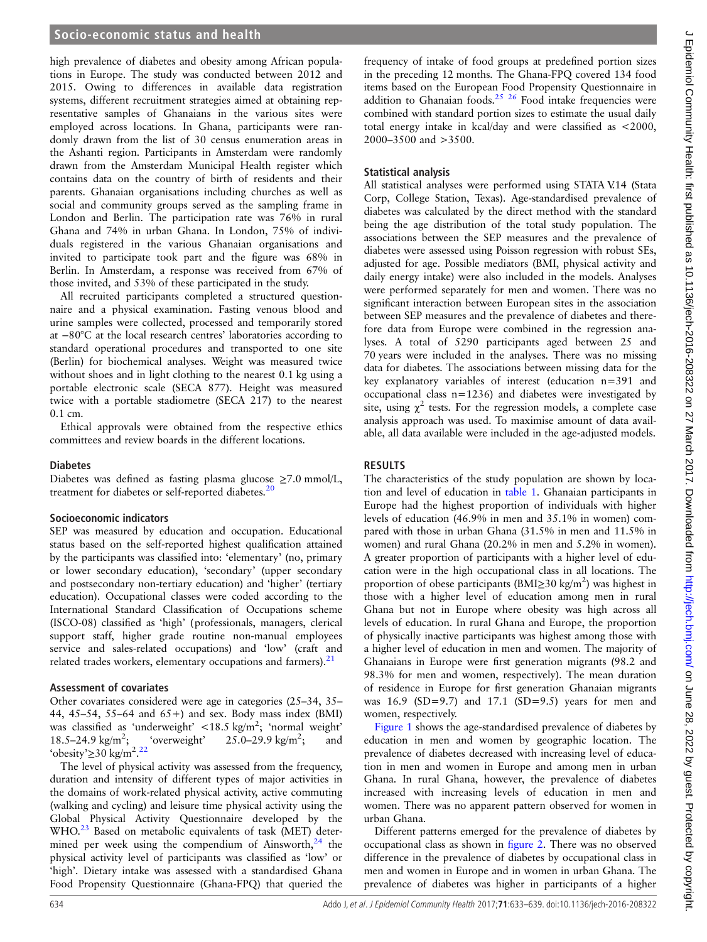high prevalence of diabetes and obesity among African populations in Europe. The study was conducted between 2012 and 2015. Owing to differences in available data registration systems, different recruitment strategies aimed at obtaining representative samples of Ghanaians in the various sites were employed across locations. In Ghana, participants were randomly drawn from the list of 30 census enumeration areas in the Ashanti region. Participants in Amsterdam were randomly drawn from the Amsterdam Municipal Health register which contains data on the country of birth of residents and their parents. Ghanaian organisations including churches as well as social and community groups served as the sampling frame in London and Berlin. The participation rate was 76% in rural Ghana and 74% in urban Ghana. In London, 75% of individuals registered in the various Ghanaian organisations and invited to participate took part and the figure was 68% in Berlin. In Amsterdam, a response was received from 67% of those invited, and 53% of these participated in the study.

All recruited participants completed a structured questionnaire and a physical examination. Fasting venous blood and urine samples were collected, processed and temporarily stored at −80°C at the local research centres' laboratories according to standard operational procedures and transported to one site (Berlin) for biochemical analyses. Weight was measured twice without shoes and in light clothing to the nearest 0.1 kg using a portable electronic scale (SECA 877). Height was measured twice with a portable stadiometre (SECA 217) to the nearest 0.1 cm.

Ethical approvals were obtained from the respective ethics committees and review boards in the different locations.

### Diabetes

Diabetes was defined as fasting plasma glucose ≥7.0 mmol/L, treatment for diabetes or self-reported diabetes.<sup>[20](#page-5-0)</sup>

### Socioeconomic indicators

SEP was measured by education and occupation. Educational status based on the self-reported highest qualification attained by the participants was classified into: 'elementary' (no, primary or lower secondary education), 'secondary' (upper secondary and postsecondary non-tertiary education) and 'higher' (tertiary education). Occupational classes were coded according to the International Standard Classification of Occupations scheme (ISCO-08) classified as 'high' (professionals, managers, clerical support staff, higher grade routine non-manual employees service and sales-related occupations) and 'low' (craft and related trades workers, elementary occupations and farmers). $21$ 

### Assessment of covariates

Other covariates considered were age in categories (25–34, 35– 44, 45–54, 55–64 and 65+) and sex. Body mass index (BMI) was classified as 'underweight' <18.5 kg/m<sup>2</sup>; 'normal weight' 18.5–24.9 kg/m<sup>2</sup>; 'overweight' 25.0–29.9 kg/m<sup>2</sup> 25.0–29.9 kg/m<sup>2</sup>; and 'obesity'≥30 kg/m<sup>2,[22](#page-5-0)</sup>

The level of physical activity was assessed from the frequency, duration and intensity of different types of major activities in the domains of work-related physical activity, active commuting (walking and cycling) and leisure time physical activity using the Global Physical Activity Questionnaire developed by the  $WHO.<sup>23</sup>$  $WHO.<sup>23</sup>$  $WHO.<sup>23</sup>$  Based on metabolic equivalents of task (MET) determined per week using the compendium of Ainsworth, $24$  the physical activity level of participants was classified as 'low' or 'high'. Dietary intake was assessed with a standardised Ghana Food Propensity Questionnaire (Ghana-FPQ) that queried the

frequency of intake of food groups at predefined portion sizes in the preceding 12 months. The Ghana-FPQ covered 134 food items based on the European Food Propensity Questionnaire in addition to Ghanaian foods.<sup>[25 26](#page-5-0)</sup> Food intake frequencies were combined with standard portion sizes to estimate the usual daily total energy intake in kcal/day and were classified as <2000, 2000–3500 and >3500.

### Statistical analysis

All statistical analyses were performed using STATA V.14 (Stata Corp, College Station, Texas). Age-standardised prevalence of diabetes was calculated by the direct method with the standard being the age distribution of the total study population. The associations between the SEP measures and the prevalence of diabetes were assessed using Poisson regression with robust SEs, adjusted for age. Possible mediators (BMI, physical activity and daily energy intake) were also included in the models. Analyses were performed separately for men and women. There was no significant interaction between European sites in the association between SEP measures and the prevalence of diabetes and therefore data from Europe were combined in the regression analyses. A total of 5290 participants aged between 25 and 70 years were included in the analyses. There was no missing data for diabetes. The associations between missing data for the key explanatory variables of interest (education n=391 and occupational class n=1236) and diabetes were investigated by site, using  $\chi^2$  tests. For the regression models, a complete case analysis approach was used. To maximise amount of data available, all data available were included in the age-adjusted models.

# RESULTS

The characteristics of the study population are shown by location and level of education in [table 1](#page-2-0). Ghanaian participants in Europe had the highest proportion of individuals with higher levels of education (46.9% in men and 35.1% in women) compared with those in urban Ghana (31.5% in men and 11.5% in women) and rural Ghana (20.2% in men and 5.2% in women). A greater proportion of participants with a higher level of education were in the high occupational class in all locations. The proportion of obese participants ( $\text{BMI} \geq 30 \text{ kg/m}^2$ ) was highest in those with a higher level of education among men in rural Ghana but not in Europe where obesity was high across all levels of education. In rural Ghana and Europe, the proportion of physically inactive participants was highest among those with a higher level of education in men and women. The majority of Ghanaians in Europe were first generation migrants (98.2 and 98.3% for men and women, respectively). The mean duration of residence in Europe for first generation Ghanaian migrants was  $16.9$  (SD=9.7) and  $17.1$  (SD=9.5) years for men and women, respectively.

[Figure 1](#page-2-0) shows the age-standardised prevalence of diabetes by education in men and women by geographic location. The prevalence of diabetes decreased with increasing level of education in men and women in Europe and among men in urban Ghana. In rural Ghana, however, the prevalence of diabetes increased with increasing levels of education in men and women. There was no apparent pattern observed for women in urban Ghana.

Different patterns emerged for the prevalence of diabetes by occupational class as shown in fi[gure 2.](#page-3-0) There was no observed difference in the prevalence of diabetes by occupational class in men and women in Europe and in women in urban Ghana. The prevalence of diabetes was higher in participants of a higher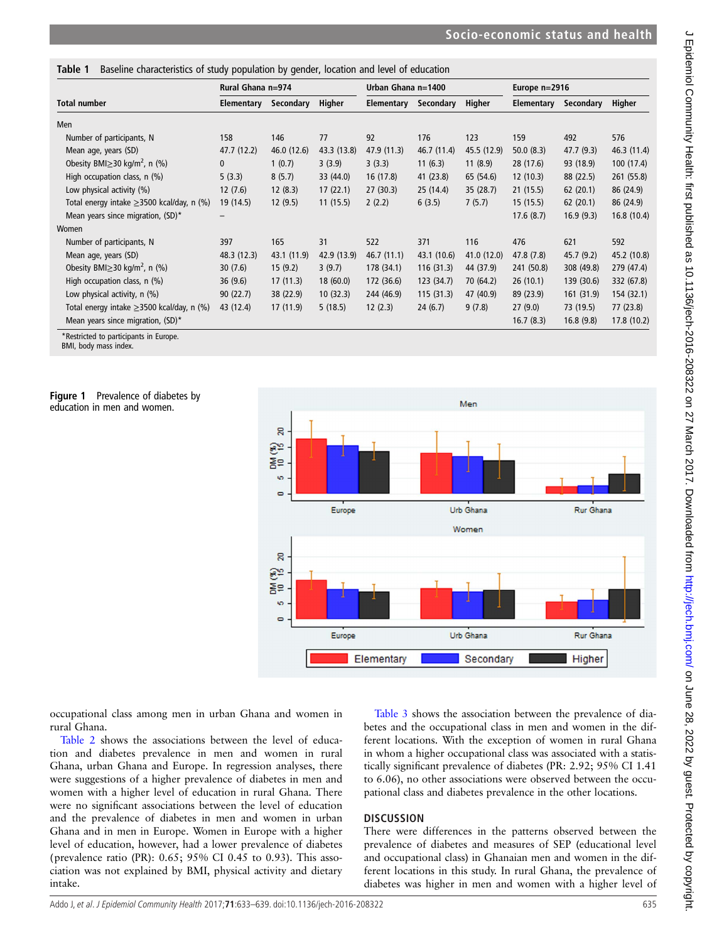<span id="page-2-0"></span>Table 1 Baseline characteristics of study population by gender, location and level of education

|                                                 | Rural Ghana n=974 |             |             | Urban Ghana n=1400 |             |             | Europe n=2916 |            |             |
|-------------------------------------------------|-------------------|-------------|-------------|--------------------|-------------|-------------|---------------|------------|-------------|
| <b>Total number</b>                             | Elementary        | Secondary   | Higher      | Elementary         | Secondary   | Higher      | Elementary    | Secondary  | Higher      |
| Men                                             |                   |             |             |                    |             |             |               |            |             |
| Number of participants, N                       | 158               | 146         | 77          | 92                 | 176         | 123         | 159           | 492        | 576         |
| Mean age, years (SD)                            | 47.7 (12.2)       | 46.0 (12.6) | 43.3 (13.8) | 47.9 (11.3)        | 46.7(11.4)  | 45.5 (12.9) | 50.0(8.3)     | 47.7(9.3)  | 46.3 (11.4) |
| Obesity BMI $\geq$ 30 kg/m <sup>2</sup> , n (%) | $\mathbf{0}$      | 1(0.7)      | 3(3.9)      | 3(3.3)             | 11(6.3)     | 11(8.9)     | 28 (17.6)     | 93 (18.9)  | 100(17.4)   |
| High occupation class, n (%)                    | 5(3.3)            | 8(5.7)      | 33 (44.0)   | 16 (17.8)          | 41 (23.8)   | 65 (54.6)   | 12(10.3)      | 88 (22.5)  | 261 (55.8)  |
| Low physical activity (%)                       | 12(7.6)           | 12(8.3)     | 17(22.1)    | 27(30.3)           | 25(14.4)    | 35(28.7)    | 21(15.5)      | 62(20.1)   | 86 (24.9)   |
| Total energy intake $\geq$ 3500 kcal/day, n (%) | 19 (14.5)         | 12(9.5)     | 11(15.5)    | 2(2.2)             | 6(3.5)      | 7(5.7)      | 15(15.5)      | 62(20.1)   | 86 (24.9)   |
| Mean years since migration, (SD)*               |                   |             |             |                    |             |             | 17.6(8.7)     | 16.9(9.3)  | 16.8(10.4)  |
| Women                                           |                   |             |             |                    |             |             |               |            |             |
| Number of participants, N                       | 397               | 165         | 31          | 522                | 371         | 116         | 476           | 621        | 592         |
| Mean age, years (SD)                            | 48.3 (12.3)       | 43.1 (11.9) | 42.9 (13.9) | 46.7(11.1)         | 43.1 (10.6) | 41.0 (12.0) | 47.8 (7.8)    | 45.7(9.2)  | 45.2 (10.8) |
| Obesity BMI $\geq$ 30 kg/m <sup>2</sup> , n (%) | 30(7.6)           | 15(9.2)     | 3(9.7)      | 178 (34.1)         | 116(31.3)   | 44 (37.9)   | 241 (50.8)    | 308 (49.8) | 279 (47.4)  |
| High occupation class, n (%)                    | 36(9.6)           | 17(11.3)    | 18(60.0)    | 172 (36.6)         | 123 (34.7)  | 70 (64.2)   | 26(10.1)      | 139 (30.6) | 332 (67.8)  |
| Low physical activity, n (%)                    | 90(22.7)          | 38 (22.9)   | 10(32.3)    | 244 (46.9)         | 115(31.3)   | 47 (40.9)   | 89 (23.9)     | 161 (31.9) | 154 (32.1)  |
| Total energy intake $\geq$ 3500 kcal/day, n (%) | 43 (12.4)         | 17(11.9)    | 5(18.5)     | 12(2.3)            | 24(6.7)     | 9(7.8)      | 27(9.0)       | 73 (19.5)  | 77 (23.8)   |
| Mean years since migration, (SD)*               |                   |             |             |                    |             |             | 16.7(8.3)     | 16.8(9.8)  | 17.8 (10.2) |

\*Restricted to participants in Europe. BMI, body mass index.





occupational class among men in urban Ghana and women in rural Ghana.

[Table 2](#page-3-0) shows the associations between the level of education and diabetes prevalence in men and women in rural Ghana, urban Ghana and Europe. In regression analyses, there were suggestions of a higher prevalence of diabetes in men and women with a higher level of education in rural Ghana. There were no significant associations between the level of education and the prevalence of diabetes in men and women in urban Ghana and in men in Europe. Women in Europe with a higher level of education, however, had a lower prevalence of diabetes (prevalence ratio (PR): 0.65; 95% CI 0.45 to 0.93). This association was not explained by BMI, physical activity and dietary intake.

[Table 3](#page-4-0) shows the association between the prevalence of diabetes and the occupational class in men and women in the different locations. With the exception of women in rural Ghana in whom a higher occupational class was associated with a statistically significant prevalence of diabetes (PR: 2.92; 95% CI 1.41 to 6.06), no other associations were observed between the occupational class and diabetes prevalence in the other locations.

### **DISCUSSION**

There were differences in the patterns observed between the prevalence of diabetes and measures of SEP (educational level and occupational class) in Ghanaian men and women in the different locations in this study. In rural Ghana, the prevalence of diabetes was higher in men and women with a higher level of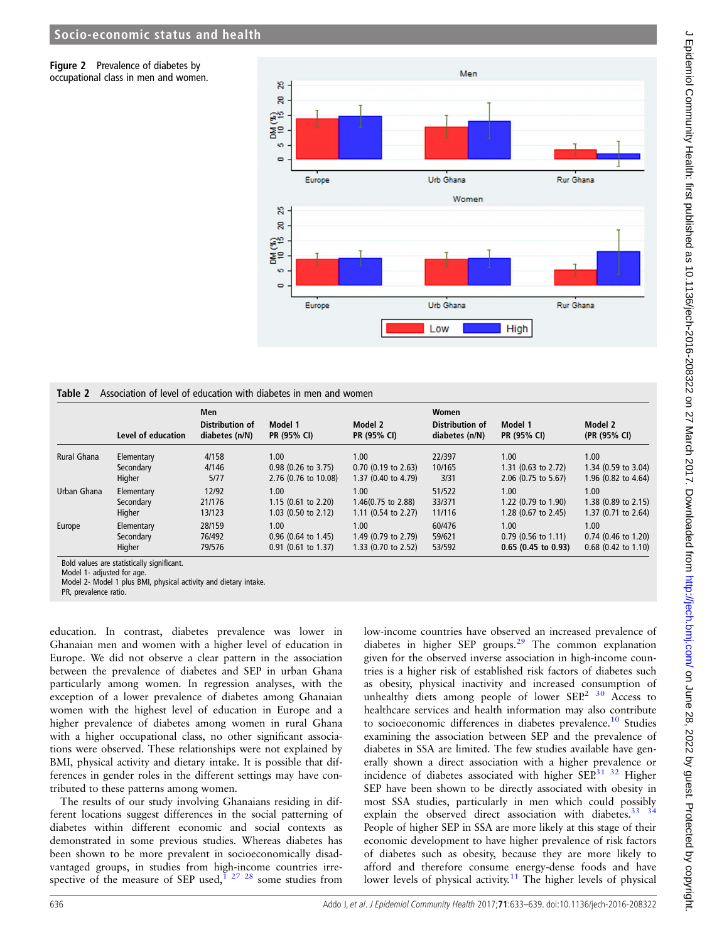<span id="page-3-0"></span>Figure 2 Prevalence of diabetes by occupational class in men and women.



Table 2 Association of level of education with diabetes in men and women

|             |                    | Men                               |                               |                                | Women                             |                               |                         |
|-------------|--------------------|-----------------------------------|-------------------------------|--------------------------------|-----------------------------------|-------------------------------|-------------------------|
|             | Level of education | Distribution of<br>diabetes (n/N) | Model 1<br><b>PR (95% CI)</b> | Model 2<br>PR (95% CI)         | Distribution of<br>diabetes (n/N) | Model 1<br><b>PR (95% CI)</b> | Model 2<br>(PR (95% CI) |
| Rural Ghana | Elementary         | 4/158                             | 1.00                          | 1.00                           | 22/397                            | 1.00                          | $1.00\,$                |
|             | Secondary          | 4/146                             | $0.98$ (0.26 to 3.75)         | $0.70$ (0.19 to 2.63)          | 10/165                            | 1.31 (0.63 to 2.72)           | 1.34 (0.59 to 3.04)     |
|             | Higher             | 5/77                              | 2.76 (0.76 to 10.08)          | 1.37 (0.40 to 4.79)            | 3/31                              | 2.06 (0.75 to 5.67)           | 1.96 (0.82 to 4.64)     |
| Urban Ghana | Elementary         | 12/92                             | 1.00                          | 1.00                           | 51/522                            | 1.00                          | 1.00                    |
|             | Secondary          | 21/176                            | $1.15(0.61)$ to 2.20)         | $1.46(0.75)$ to 2.88)          | 33/371                            | 1.22 (0.79 to 1.90)           | 1.38 (0.89 to 2.15)     |
|             | Higher             | 13/123                            | $1.03$ (0.50 to 2.12)         | 1.11 $(0.54 \text{ to } 2.27)$ | 11/116                            | 1.28 (0.67 to 2.45)           | 1.37 (0.71 to 2.64)     |
| Europe      | Elementary         | 28/159                            | 1.00                          | 1.00                           | 60/476                            | 1.00                          | 1.00                    |
|             | Secondary          | 76/492                            | $0.96$ (0.64 to 1.45)         | 1.49 (0.79 to 2.79)            | 59/621                            | $0.79$ (0.56 to 1.11)         | 0.74 (0.46 to 1.20)     |
|             | Higher             | 79/576                            | $0.91$ (0.61 to 1.37)         | 1.33 (0.70 to 2.52)            | 53/592                            | $0.65$ (0.45 to 0.93)         | $0.68$ (0.42 to 1.10)   |

Bold values are statistically significant.

Model 1- adjusted for age.

Model 2- Model 1 plus BMI, physical activity and dietary intake.

education. In contrast, diabetes prevalence was lower in Ghanaian men and women with a higher level of education in Europe. We did not observe a clear pattern in the association between the prevalence of diabetes and SEP in urban Ghana particularly among women. In regression analyses, with the exception of a lower prevalence of diabetes among Ghanaian women with the highest level of education in Europe and a higher prevalence of diabetes among women in rural Ghana with a higher occupational class, no other significant associations were observed. These relationships were not explained by BMI, physical activity and dietary intake. It is possible that differences in gender roles in the different settings may have contributed to these patterns among women.

The results of our study involving Ghanaians residing in different locations suggest differences in the social patterning of diabetes within different economic and social contexts as demonstrated in some previous studies. Whereas diabetes has been shown to be more prevalent in socioeconomically disadvantaged groups, in studies from high-income countries irre-spective of the measure of SEP used,<sup>[1](#page-5-0) [27 28](#page-6-0)</sup> some studies from

low-income countries have observed an increased prevalence of diabetes in higher SEP groups.<sup>[29](#page-6-0)</sup> The common explanation given for the observed inverse association in high-income countries is a higher risk of established risk factors of diabetes such as obesity, physical inactivity and increased consumption of unhealthy diets among people of lower  $\text{SEP}^2$  $\text{SEP}^2$  <sup>30</sup> Access to healthcare services and health information may also contribute to socioeconomic differences in diabetes prevalence.<sup>10</sup> Studies examining the association between SEP and the prevalence of diabetes in SSA are limited. The few studies available have generally shown a direct association with a higher prevalence or incidence of diabetes associated with higher  $SEP<sup>31</sup>$ <sup>32</sup> Higher SEP have been shown to be directly associated with obesity in most SSA studies, particularly in men which could possibly explain the observed direct association with diabetes.<sup>33</sup> <sup>34</sup> People of higher SEP in SSA are more likely at this stage of their economic development to have higher prevalence of risk factors of diabetes such as obesity, because they are more likely to afford and therefore consume energy-dense foods and have lower levels of physical activity.<sup>[11](#page-5-0)</sup> The higher levels of physical

PR, prevalence ratio.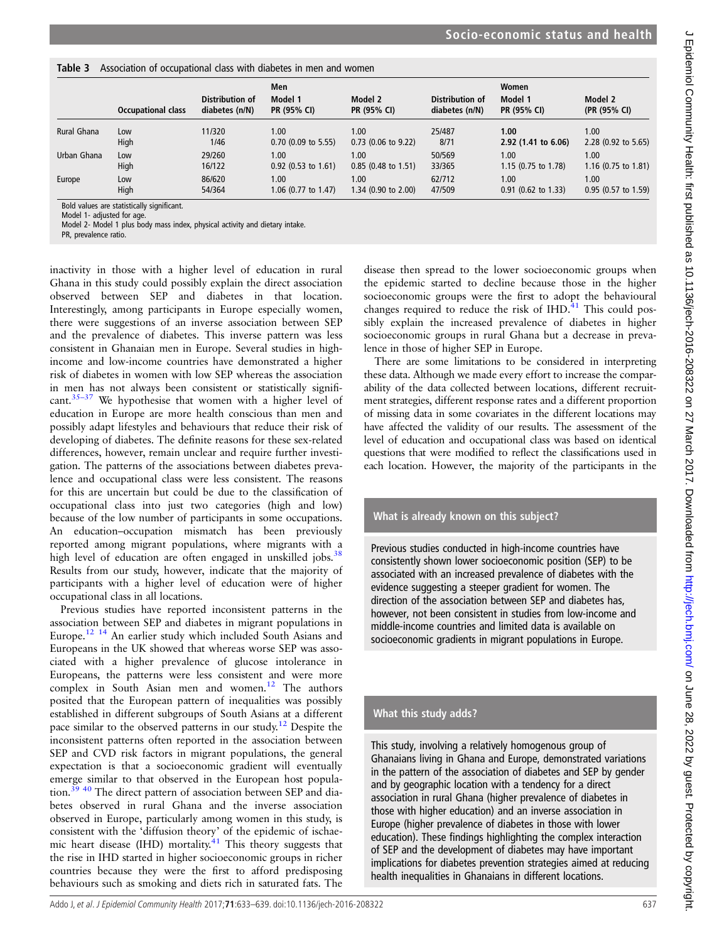| rapie 3<br>Association of occupational class with diabetes in men and women |                           |                                   |                        |                        |                                   |                        |                         |  |  |
|-----------------------------------------------------------------------------|---------------------------|-----------------------------------|------------------------|------------------------|-----------------------------------|------------------------|-------------------------|--|--|
|                                                                             |                           |                                   | Men                    |                        | Women                             |                        |                         |  |  |
|                                                                             | <b>Occupational class</b> | Distribution of<br>diabetes (n/N) | Model 1<br>PR (95% CI) | Model 2<br>PR (95% CI) | Distribution of<br>diabetes (n/N) | Model 1<br>PR (95% CI) | Model 2<br>(PR (95% CI) |  |  |
| Rural Ghana                                                                 | Low                       | 11/320                            | 1.00                   | 1.00                   | 25/487                            | 1.00                   | 1.00                    |  |  |
|                                                                             | High                      | 1/46                              | $0.70$ (0.09 to 5.55)  | $0.73$ (0.06 to 9.22)  | 8/71                              | $2.92$ (1.41 to 6.06)  | 2.28 (0.92 to 5.65)     |  |  |
| Urban Ghana                                                                 | Low                       | 29/260                            | 1.00                   | 1.00                   | 50/569                            | 1.00                   | 1.00                    |  |  |
|                                                                             | High                      | 16/122                            | $0.92$ (0.53 to 1.61)  | $0.85$ (0.48 to 1.51)  | 33/365                            | 1.15 (0.75 to 1.78)    | 1.16 (0.75 to 1.81)     |  |  |
| Europe                                                                      | Low                       | 86/620                            | 1.00                   | 1.00                   | 62/712                            | 1.00                   | 1.00                    |  |  |
|                                                                             | High                      | 54/364                            | 1.06 (0.77 to 1.47)    | $1.34$ (0.90 to 2.00)  | 47/509                            | $0.91$ (0.62 to 1.33)  | 0.95 (0.57 to 1.59)     |  |  |

<span id="page-4-0"></span>Table 3 Association of occupational class with diabetes in men and women

Bold values are statistically significant.

Model 1- adjusted for age

Model 2- Model 1 plus body mass index, physical activity and dietary intake.

PR, prevalence ratio.

inactivity in those with a higher level of education in rural Ghana in this study could possibly explain the direct association observed between SEP and diabetes in that location. Interestingly, among participants in Europe especially women, there were suggestions of an inverse association between SEP and the prevalence of diabetes. This inverse pattern was less consistent in Ghanaian men in Europe. Several studies in highincome and low-income countries have demonstrated a higher risk of diabetes in women with low SEP whereas the association in men has not always been consistent or statistically signifi-cant.<sup>[35](#page-6-0)-37</sup> We hypothesise that women with a higher level of education in Europe are more health conscious than men and possibly adapt lifestyles and behaviours that reduce their risk of developing of diabetes. The definite reasons for these sex-related differences, however, remain unclear and require further investigation. The patterns of the associations between diabetes prevalence and occupational class were less consistent. The reasons for this are uncertain but could be due to the classification of occupational class into just two categories (high and low) because of the low number of participants in some occupations. An education–occupation mismatch has been previously reported among migrant populations, where migrants with a high level of education are often engaged in unskilled jobs.<sup>[38](#page-6-0)</sup> Results from our study, however, indicate that the majority of participants with a higher level of education were of higher occupational class in all locations.

Previous studies have reported inconsistent patterns in the association between SEP and diabetes in migrant populations in Europe.[12 14](#page-5-0) An earlier study which included South Asians and Europeans in the UK showed that whereas worse SEP was associated with a higher prevalence of glucose intolerance in Europeans, the patterns were less consistent and were more complex in South Asian men and women.<sup>[12](#page-5-0)</sup> The authors posited that the European pattern of inequalities was possibly established in different subgroups of South Asians at a different pace similar to the observed patterns in our study.[12](#page-5-0) Despite the inconsistent patterns often reported in the association between SEP and CVD risk factors in migrant populations, the general expectation is that a socioeconomic gradient will eventually emerge similar to that observed in the European host population.<sup>39</sup> <sup>40</sup> The direct pattern of association between SEP and diabetes observed in rural Ghana and the inverse association observed in Europe, particularly among women in this study, is consistent with the 'diffusion theory' of the epidemic of ischaemic heart disease (IHD) mortality.[41](#page-6-0) This theory suggests that the rise in IHD started in higher socioeconomic groups in richer countries because they were the first to afford predisposing behaviours such as smoking and diets rich in saturated fats. The

disease then spread to the lower socioeconomic groups when the epidemic started to decline because those in the higher socioeconomic groups were the first to adopt the behavioural changes required to reduce the risk of  $IHD<sup>41</sup>$  $IHD<sup>41</sup>$  $IHD<sup>41</sup>$ . This could possibly explain the increased prevalence of diabetes in higher socioeconomic groups in rural Ghana but a decrease in prevalence in those of higher SEP in Europe.

There are some limitations to be considered in interpreting these data. Although we made every effort to increase the comparability of the data collected between locations, different recruitment strategies, different response rates and a different proportion of missing data in some covariates in the different locations may have affected the validity of our results. The assessment of the level of education and occupational class was based on identical questions that were modified to reflect the classifications used in each location. However, the majority of the participants in the

# What is already known on this subject?

Previous studies conducted in high-income countries have consistently shown lower socioeconomic position (SEP) to be associated with an increased prevalence of diabetes with the evidence suggesting a steeper gradient for women. The direction of the association between SEP and diabetes has, however, not been consistent in studies from low-income and middle-income countries and limited data is available on socioeconomic gradients in migrant populations in Europe.

# What this study adds?

This study, involving a relatively homogenous group of Ghanaians living in Ghana and Europe, demonstrated variations in the pattern of the association of diabetes and SEP by gender and by geographic location with a tendency for a direct association in rural Ghana (higher prevalence of diabetes in those with higher education) and an inverse association in Europe (higher prevalence of diabetes in those with lower education). These findings highlighting the complex interaction of SEP and the development of diabetes may have important implications for diabetes prevention strategies aimed at reducing health inequalities in Ghanaians in different locations.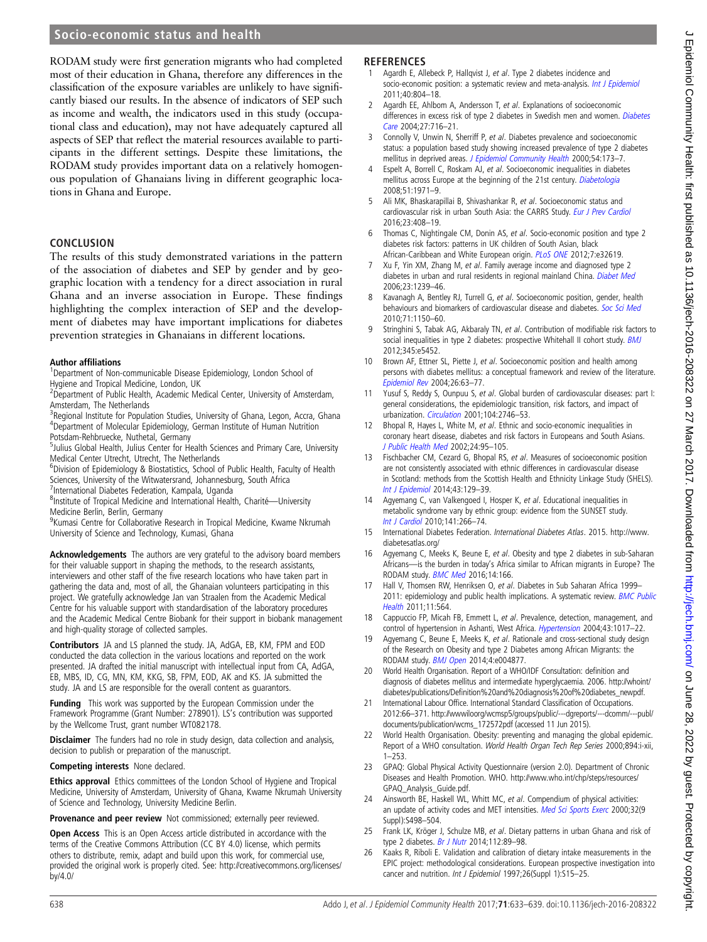# J Epidemiol Community Health: first published as 10.11136/jech-2016-208322 on 27 March 2017. Downloaded from http://jech.bmj.com/ on June 28, 2022 by guest. Protected by copyright J Epidemiol Community Health: first published as 10.1136/jech-208322 on 27 March 2017. Downloaded from <http://jech.bmj.com/> on June 28, 2022 by guest. Protected by copyright.

## <span id="page-5-0"></span>**Socio-economic status and health**

RODAM study were first generation migrants who had completed most of their education in Ghana, therefore any differences in the classification of the exposure variables are unlikely to have significantly biased our results. In the absence of indicators of SEP such as income and wealth, the indicators used in this study (occupational class and education), may not have adequately captured all aspects of SEP that reflect the material resources available to participants in the different settings. Despite these limitations, the RODAM study provides important data on a relatively homogenous population of Ghanaians living in different geographic locations in Ghana and Europe.

### **CONCLUSION**

The results of this study demonstrated variations in the pattern of the association of diabetes and SEP by gender and by geographic location with a tendency for a direct association in rural Ghana and an inverse association in Europe. These findings highlighting the complex interaction of SEP and the development of diabetes may have important implications for diabetes prevention strategies in Ghanaians in different locations.

### Author affiliations <sup>1</sup>

<sup>1</sup>Department of Non-communicable Disease Epidemiology, London School of Hygiene and Tropical Medicine, London, UK

<sup>2</sup>Department of Public Health, Academic Medical Center, University of Amsterdam, Amsterdam, The Netherlands

<sup>3</sup>Regional Institute for Population Studies, University of Ghana, Legon, Accra, Ghana 4 Department of Molecular Epidemiology, German Institute of Human Nutrition Potsdam-Rehbruecke, Nuthetal, Germany

<sup>5</sup>Julius Global Health, Julius Center for Health Sciences and Primary Care, University Medical Center Utrecht, Utrecht, The Netherlands

<sup>6</sup>Division of Epidemiology & Biostatistics, School of Public Health, Faculty of Health Sciences, University of the Witwatersrand, Johannesburg, South Africa

7 International Diabetes Federation, Kampala, Uganda <sup>8</sup>Institute of Tropical Medicine and International Health, Charité-University Medicine Berlin, Berlin, Germany

<sup>9</sup>Kumasi Centre for Collaborative Research in Tropical Medicine, Kwame Nkrumah University of Science and Technology, Kumasi, Ghana

Acknowledgements The authors are very grateful to the advisory board members for their valuable support in shaping the methods, to the research assistants, interviewers and other staff of the five research locations who have taken part in gathering the data and, most of all, the Ghanaian volunteers participating in this project. We gratefully acknowledge Jan van Straalen from the Academic Medical Centre for his valuable support with standardisation of the laboratory procedures and the Academic Medical Centre Biobank for their support in biobank management and high-quality storage of collected samples.

Contributors JA and LS planned the study. JA, AdGA, EB, KM, FPM and EOD conducted the data collection in the various locations and reported on the work presented. JA drafted the initial manuscript with intellectual input from CA, AdGA, EB, MBS, ID, CG, MN, KM, KKG, SB, FPM, EOD, AK and KS. JA submitted the study. JA and LS are responsible for the overall content as guarantors.

Funding This work was supported by the European Commission under the Framework Programme (Grant Number: 278901). LS's contribution was supported by the Wellcome Trust, grant number WT082178.

Disclaimer The funders had no role in study design, data collection and analysis, decision to publish or preparation of the manuscript.

Competing interests None declared.

Ethics approval Ethics committees of the London School of Hygiene and Tropical Medicine, University of Amsterdam, University of Ghana, Kwame Nkrumah University of Science and Technology, University Medicine Berlin.

Provenance and peer review Not commissioned; externally peer reviewed.

Open Access This is an Open Access article distributed in accordance with the terms of the Creative Commons Attribution (CC BY 4.0) license, which permits others to distribute, remix, adapt and build upon this work, for commercial use, provided the original work is properly cited. See: [http://creativecommons.org/licenses/](http://creativecommons.org/licenses/by/4.0/) [by/4.0/](http://creativecommons.org/licenses/by/4.0/)

### **REFERENCES**

- Agardh E, Allebeck P, Hallqvist J, et al. Type 2 diabetes incidence and socio-economic position: a systematic review and meta-analysis. [Int J Epidemiol](http://dx.doi.org/10.1093/ije/dyr029) 2011;40:804–18.
- 2 Agardh EE, Ahlbom A, Andersson T, et al. Explanations of socioeconomic differences in excess risk of type 2 diabetes in Swedish men and women. [Diabetes](http://dx.doi.org/10.2337/diacare.27.3.716) [Care](http://dx.doi.org/10.2337/diacare.27.3.716) 2004;27:716–21.
- 3 Connolly V, Unwin N, Sherriff P, et al. Diabetes prevalence and socioeconomic status: a population based study showing increased prevalence of type 2 diabetes mellitus in deprived areas. [J Epidemiol Community Health](http://dx.doi.org/10.1136/jech.54.3.173) 2000;54:173-7.
- Espelt A, Borrell C, Roskam AJ, et al. Socioeconomic inequalities in diabetes mellitus across Europe at the beginning of the 21st century. [Diabetologia](http://dx.doi.org/10.1007/s00125-008-1146-1) 2008;51:1971–9.
- 5 Ali MK, Bhaskarapillai B, Shivashankar R, et al. Socioeconomic status and cardiovascular risk in urban South Asia: the CARRS Study. [Eur J Prev Cardiol](http://dx.doi.org/10.1177/2047487315580891) 2016;23:408–19.
- 6 Thomas C, Nightingale CM, Donin AS, et al. Socio-economic position and type 2 diabetes risk factors: patterns in UK children of South Asian, black African-Caribbean and White European origin. [PLoS ONE](http://dx.doi.org/10.1371/journal.pone.0032619) 2012;7:e32619.
- 7 Xu F, Yin XM, Zhang M, et al. Family average income and diagnosed type 2 diabetes in urban and rural residents in regional mainland China. [Diabet Med](http://dx.doi.org/10.1111/j.1464-5491.2006.01965.x) 2006;23:1239–46.
- Kavanagh A, Bentley RJ, Turrell G, et al. Socioeconomic position, gender, health behaviours and biomarkers of cardiovascular disease and diabetes. [Soc Sci Med](http://dx.doi.org/10.1016/j.socscimed.2010.05.038) 2010;71:1150–60.
- 9 Stringhini S, Tabak AG, Akbaraly TN, et al. Contribution of modifiable risk factors to social inequalities in type 2 diabetes: prospective Whitehall II cohort study. **[BMJ](http://dx.doi.org/10.1136/bmj.e5452)** 2012;345:e5452.
- 10 Brown AF, Ettner SL, Piette J, et al. Socioeconomic position and health among persons with diabetes mellitus: a conceptual framework and review of the literature. [Epidemiol Rev](http://dx.doi.org/10.1093/epirev/mxh002) 2004;26:63–77.
- 11 Yusuf S, Reddy S, Ounpuu S, et al. Global burden of cardiovascular diseases: part I: general considerations, the epidemiologic transition, risk factors, and impact of urbanization. *[Circulation](http://dx.doi.org/10.1161/hc4601.099487)* 2001;104:2746-53.
- 12 Bhopal R, Hayes L, White M, et al. Ethnic and socio-economic inequalities in coronary heart disease, diabetes and risk factors in Europeans and South Asians. [J Public Health Med](http://dx.doi.org/10.1093/pubmed/24.2.95) 2002;24:95–105.
- 13 Fischbacher CM, Cezard G, Bhopal RS, et al. Measures of socioeconomic position are not consistently associated with ethnic differences in cardiovascular disease in Scotland: methods from the Scottish Health and Ethnicity Linkage Study (SHELS). Int J [Epidemiol](http://dx.doi.org/10.1093/ije/dyt237) 2014;43:129–39.
- 14 Agyemang C, van Valkengoed I, Hosper K, et al. Educational inequalities in metabolic syndrome vary by ethnic group: evidence from the SUNSET study. [Int J Cardiol](http://dx.doi.org/10.1016/j.ijcard.2008.12.023) 2010;141:266–74.
- 15 International Diabetes Federation. International Diabetes Atlas. 2015. [http://www.](http://www.diabetesatlas.org/) [diabetesatlas.org/](http://www.diabetesatlas.org/)
- 16 Agyemang C, Meeks K, Beune E, et al. Obesity and type 2 diabetes in sub-Saharan Africans—is the burden in today's Africa similar to African migrants in Europe? The RODAM study. [BMC Med](http://dx.doi.org/10.1186/s12916-016-0709-0) 2016;14:166.
- 17 Hall V, Thomsen RW, Henriksen O, et al. Diabetes in Sub Saharan Africa 1999-2011: epidemiology and public health implications. A systematic review. **[BMC Public](http://dx.doi.org/10.1186/1471-2458-11-564)** [Health](http://dx.doi.org/10.1186/1471-2458-11-564) 2011:11:564
- 18 Cappuccio FP, Micah FB, Emmett L, et al. Prevalence, detection, management, and control of hypertension in Ashanti, West Africa. [Hypertension](http://dx.doi.org/10.1161/01.HYP.0000126176.03319.d8) 2004;43:1017–22.
- 19 Agyemang C, Beune E, Meeks K, et al. Rationale and cross-sectional study design of the Research on Obesity and type 2 Diabetes among African Migrants: the RODAM study. [BMJ Open](http://dx.doi.org/10.1136/bmjopen-2014-004877) 2014;4:e004877.
- 20 World Health Organisation. Report of a WHO/IDF Consultation: definition and diagnosis of diabetes mellitus and intermediate hyperglycaemia. 2006. [http://whoint/](http://whoint/diabetes/publications/Definition%20and%20diagnosis%20of%20diabetes_newpdf) diabetes/publications/Defi[nition%20and%20diagnosis%20of%20diabetes\\_newpdf](http://whoint/diabetes/publications/Definition%20and%20diagnosis%20of%20diabetes_newpdf).
- 21 International Labour Office. International Standard Classification of Occupations. 2012:66–371. [http://wwwiloorg/wcmsp5/groups/public/---dgreports/---dcomm/---publ/](http://wwwiloorg/wcmsp5/groups/public/---dgreports/---dcomm/---publ/documents/publication/wcms_172572pdf) [documents/publication/wcms\\_172572pdf](http://wwwiloorg/wcmsp5/groups/public/---dgreports/---dcomm/---publ/documents/publication/wcms_172572pdf) (accessed 11 Jun 2015).
- 22 World Health Organisation. Obesity: preventing and managing the global epidemic. Report of a WHO consultation. World Health Organ Tech Rep Series 2000;894:i-xii, 1–253.
- 23 GPAQ: Global Physical Activity Questionnaire (version 2.0). Department of Chronic Diseases and Health Promotion. WHO. [http://www.who.int/chp/steps/resources/](http://www.who.int/chp/steps/resources/GPAQ_Analysis_Guide.pdf) [GPAQ\\_Analysis\\_Guide.pdf.](http://www.who.int/chp/steps/resources/GPAQ_Analysis_Guide.pdf)
- 24 Ainsworth BE, Haskell WL, Whitt MC, et al. Compendium of physical activities: an update of activity codes and MET intensities. [Med Sci Sports Exerc](http://dx.doi.org/10.1097/00005768-200009001-00009) 2000;32(9 Suppl):S498–504.
- 25 Frank LK, Kröger J, Schulze MB, et al. Dietary patterns in urban Ghana and risk of type 2 diabetes. [Br J Nutr](http://dx.doi.org/10.1017/S000711451400052X) 2014;112:89-98.
- 26 Kaaks R, Riboli E. Validation and calibration of dietary intake measurements in the EPIC project: methodological considerations. European prospective investigation into cancer and nutrition. Int J Epidemiol 1997;26(Suppl 1):S15-25.